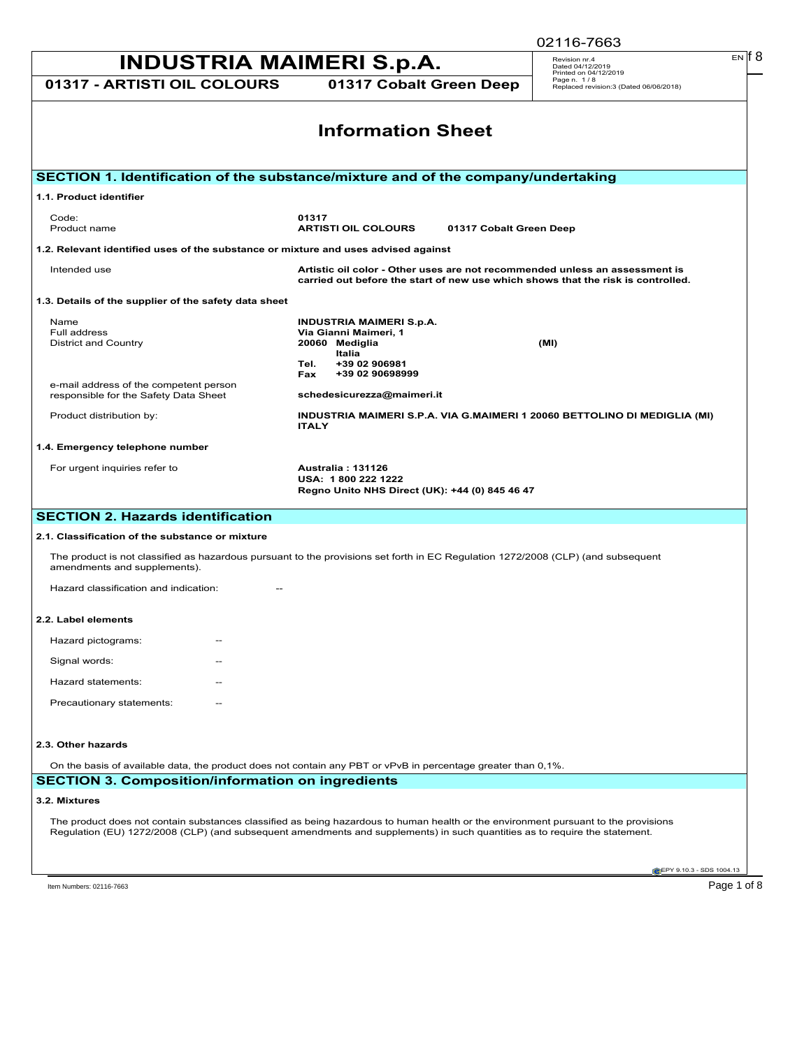| <b>INDUSTRIA MAIMERI S.p.A.</b>                                                               |                                                                                                                                                                                                                                                                    | EN IT 8<br>Revision nr.4<br>Dated 04/12/2019                                   |  |
|-----------------------------------------------------------------------------------------------|--------------------------------------------------------------------------------------------------------------------------------------------------------------------------------------------------------------------------------------------------------------------|--------------------------------------------------------------------------------|--|
| 01317 - ARTISTI OIL COLOURS                                                                   | 01317 Cobalt Green Deep                                                                                                                                                                                                                                            | Printed on 04/12/2019<br>Page n. 1/8<br>Replaced revision:3 (Dated 06/06/2018) |  |
| <b>Information Sheet</b>                                                                      |                                                                                                                                                                                                                                                                    |                                                                                |  |
|                                                                                               | SECTION 1. Identification of the substance/mixture and of the company/undertaking                                                                                                                                                                                  |                                                                                |  |
| 1.1. Product identifier                                                                       |                                                                                                                                                                                                                                                                    |                                                                                |  |
| Code:<br>Product name                                                                         | 01317<br><b>ARTISTI OIL COLOURS</b><br>01317 Cobalt Green Deep                                                                                                                                                                                                     |                                                                                |  |
| 1.2. Relevant identified uses of the substance or mixture and uses advised against            |                                                                                                                                                                                                                                                                    |                                                                                |  |
| Intended use                                                                                  | Artistic oil color - Other uses are not recommended unless an assessment is<br>carried out before the start of new use which shows that the risk is controlled.                                                                                                    |                                                                                |  |
| 1.3. Details of the supplier of the safety data sheet                                         |                                                                                                                                                                                                                                                                    |                                                                                |  |
| Name<br>Full address<br><b>District and Country</b><br>e-mail address of the competent person | <b>INDUSTRIA MAIMERI S.p.A.</b><br>Via Gianni Maimeri, 1<br>20060 Mediglia<br>Italia<br>+39 02 906981<br>Tel.<br>+39 02 90698999<br>Fax                                                                                                                            | (MI)                                                                           |  |
| responsible for the Safety Data Sheet<br>Product distribution by:                             | schedesicurezza@maimeri.it<br>INDUSTRIA MAIMERI S.P.A. VIA G.MAIMERI 1 20060 BETTOLINO DI MEDIGLIA (MI)<br><b>ITALY</b>                                                                                                                                            |                                                                                |  |
| 1.4. Emergency telephone number                                                               |                                                                                                                                                                                                                                                                    |                                                                                |  |
| For urgent inquiries refer to                                                                 | <b>Australia: 131126</b><br>USA: 1800 222 1222<br>Regno Unito NHS Direct (UK): +44 (0) 845 46 47                                                                                                                                                                   |                                                                                |  |
| <b>SECTION 2. Hazards identification</b>                                                      |                                                                                                                                                                                                                                                                    |                                                                                |  |
| 2.1. Classification of the substance or mixture                                               |                                                                                                                                                                                                                                                                    |                                                                                |  |
| amendments and supplements).                                                                  | The product is not classified as hazardous pursuant to the provisions set forth in EC Regulation 1272/2008 (CLP) (and subsequent                                                                                                                                   |                                                                                |  |
| Hazard classification and indication:                                                         |                                                                                                                                                                                                                                                                    |                                                                                |  |
| 2.2. Label elements                                                                           |                                                                                                                                                                                                                                                                    |                                                                                |  |
| Hazard pictograms:                                                                            |                                                                                                                                                                                                                                                                    |                                                                                |  |
| Signal words:                                                                                 |                                                                                                                                                                                                                                                                    |                                                                                |  |
| Hazard statements:                                                                            |                                                                                                                                                                                                                                                                    |                                                                                |  |
| Precautionary statements:                                                                     |                                                                                                                                                                                                                                                                    |                                                                                |  |
| 2.3. Other hazards                                                                            |                                                                                                                                                                                                                                                                    |                                                                                |  |
|                                                                                               | On the basis of available data, the product does not contain any PBT or vPvB in percentage greater than 0,1%.                                                                                                                                                      |                                                                                |  |
| <b>SECTION 3. Composition/information on ingredients</b>                                      |                                                                                                                                                                                                                                                                    |                                                                                |  |
| 3.2. Mixtures                                                                                 |                                                                                                                                                                                                                                                                    |                                                                                |  |
|                                                                                               | The product does not contain substances classified as being hazardous to human health or the environment pursuant to the provisions<br>Regulation (EU) 1272/2008 (CLP) (and subsequent amendments and supplements) in such quantities as to require the statement. |                                                                                |  |
|                                                                                               |                                                                                                                                                                                                                                                                    | EPY 9.10.3 - SDS 1004.13                                                       |  |
| Item Numbers: 02116-7663                                                                      |                                                                                                                                                                                                                                                                    | Page 1 of 8                                                                    |  |

02116-7663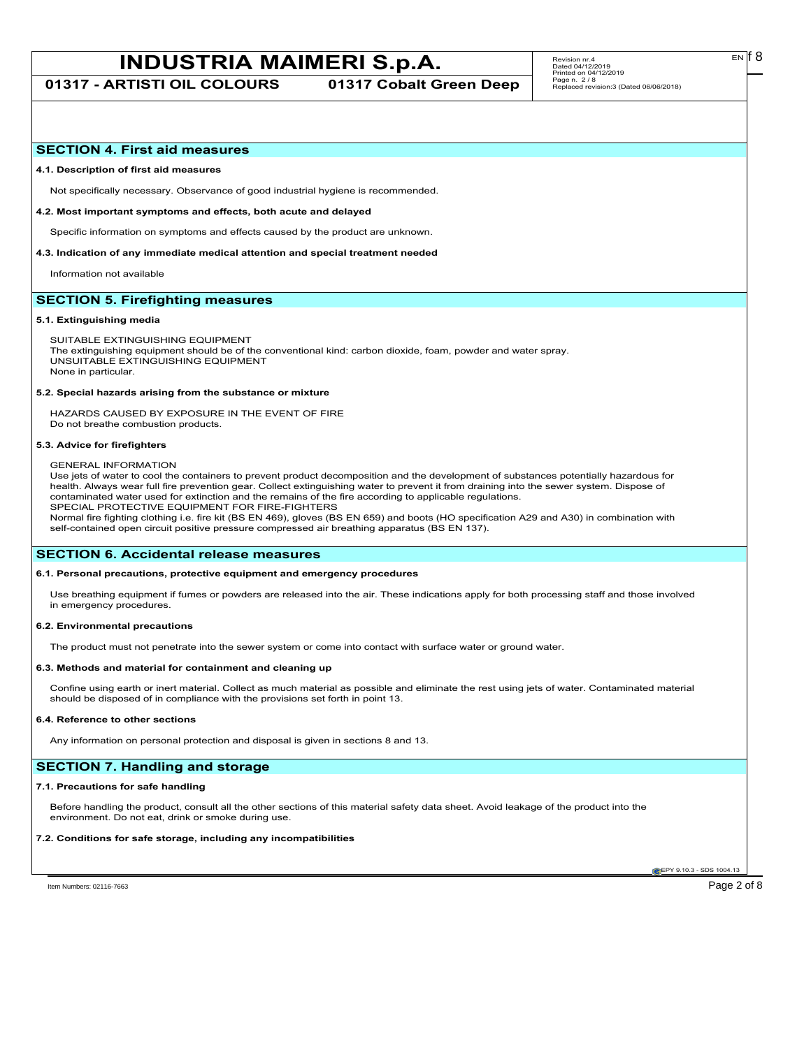**01317 - ARTISTI OIL COLOURS 01317 Cobalt Green Deep**

## **SECTION 4. First aid measures**

## **4.1. Description of first aid measures**

Not specifically necessary. Observance of good industrial hygiene is recommended.

### **4.2. Most important symptoms and effects, both acute and delayed**

Specific information on symptoms and effects caused by the product are unknown.

## **4.3. Indication of any immediate medical attention and special treatment needed**

Information not available

# **SECTION 5. Firefighting measures**

## **5.1. Extinguishing media**

SUITABLE EXTINGUISHING EQUIPMENT The extinguishing equipment should be of the conventional kind: carbon dioxide, foam, powder and water spray. UNSUITABLE EXTINGUISHING EQUIPMENT None in particular.

#### **5.2. Special hazards arising from the substance or mixture**

HAZARDS CAUSED BY EXPOSURE IN THE EVENT OF FIRE Do not breathe combustion products.

#### **5.3. Advice for firefighters**

## GENERAL INFORMATION

Use jets of water to cool the containers to prevent product decomposition and the development of substances potentially hazardous for health. Always wear full fire prevention gear. Collect extinguishing water to prevent it from draining into the sewer system. Dispose of contaminated water used for extinction and the remains of the fire according to applicable regulations. SPECIAL PROTECTIVE EQUIPMENT FOR FIRE-FIGHTERS

Normal fire fighting clothing i.e. fire kit (BS EN 469), gloves (BS EN 659) and boots (HO specification A29 and A30) in combination with self-contained open circuit positive pressure compressed air breathing apparatus (BS EN 137).

## **SECTION 6. Accidental release measures**

## **6.1. Personal precautions, protective equipment and emergency procedures**

Use breathing equipment if fumes or powders are released into the air. These indications apply for both processing staff and those involved in emergency procedures.

### **6.2. Environmental precautions**

The product must not penetrate into the sewer system or come into contact with surface water or ground water.

### **6.3. Methods and material for containment and cleaning up**

Confine using earth or inert material. Collect as much material as possible and eliminate the rest using jets of water. Contaminated material should be disposed of in compliance with the provisions set forth in point 13.

#### **6.4. Reference to other sections**

Any information on personal protection and disposal is given in sections 8 and 13.

# **SECTION 7. Handling and storage**

## **7.1. Precautions for safe handling**

Before handling the product, consult all the other sections of this material safety data sheet. Avoid leakage of the product into the environment. Do not eat, drink or smoke during use.

## **7.2. Conditions for safe storage, including any incompatibilities**

**CEPY 9.10.3 - SDS 1004.1** 

EN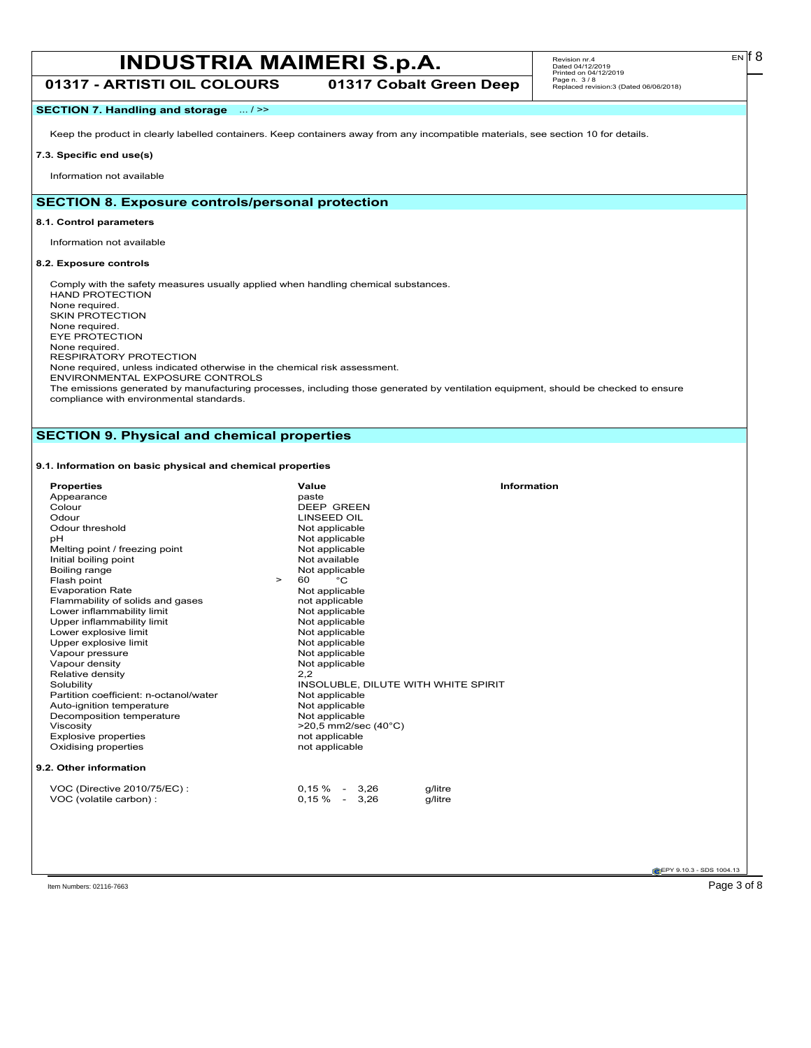# **INDUSTRIA MAIMERI S.p.A.** Revision m:4 **Data Corp 192019**

**01317 - ARTISTI OIL COLOURS 01317 Cobalt Green Deep**

# **SECTION 7. Handling and storage** ... / >>

Keep the product in clearly labelled containers. Keep containers away from any incompatible materials, see section 10 for details.

# **7.3. Specific end use(s)**

Information not available

# **SECTION 8. Exposure controls/personal protection**

## **8.1. Control parameters**

Information not available

# **8.2. Exposure controls**

Comply with the safety measures usually applied when handling chemical substances. HAND PROTECTION None required. SKIN PROTECTION None required. EYE PROTECTION None required. RESPIRATORY PROTECTION None required, unless indicated otherwise in the chemical risk assessment. ENVIRONMENTAL EXPOSURE CONTROLS The emissions generated by manufacturing processes, including those generated by ventilation equipment, should be checked to ensure

compliance with environmental standards.

# **SECTION 9. Physical and chemical properties**

# **9.1. Information on basic physical and chemical properties**

| <b>Properties</b>                      | Value                               | Information |
|----------------------------------------|-------------------------------------|-------------|
| Appearance                             | paste                               |             |
| Colour                                 | <b>DEEP GREEN</b>                   |             |
| Odour                                  | <b>LINSEED OIL</b>                  |             |
| Odour threshold                        | Not applicable                      |             |
| pH                                     | Not applicable                      |             |
| Melting point / freezing point         | Not applicable                      |             |
| Initial boiling point                  | Not available                       |             |
| Boiling range                          | Not applicable                      |             |
| Flash point<br>$\geq$                  | $^{\circ}C$<br>60                   |             |
| <b>Evaporation Rate</b>                | Not applicable                      |             |
| Flammability of solids and gases       | not applicable                      |             |
| Lower inflammability limit             | Not applicable                      |             |
| Upper inflammability limit             | Not applicable                      |             |
| Lower explosive limit                  | Not applicable                      |             |
| Upper explosive limit                  | Not applicable                      |             |
| Vapour pressure                        | Not applicable                      |             |
| Vapour density                         | Not applicable                      |             |
| Relative density                       | 2,2                                 |             |
| Solubility                             | INSOLUBLE, DILUTE WITH WHITE SPIRIT |             |
| Partition coefficient: n-octanol/water | Not applicable                      |             |
| Auto-ignition temperature              | Not applicable                      |             |
| Decomposition temperature              | Not applicable                      |             |
| Viscosity                              | $>20.5$ mm2/sec (40 $^{\circ}$ C)   |             |
| <b>Explosive properties</b>            | not applicable                      |             |
| Oxidising properties                   | not applicable                      |             |
| 9.2. Other information                 |                                     |             |
| VOC (Directive 2010/75/EC):            | $0,15\% - 3,26$<br>g/litre          |             |
| VOC (volatile carbon) :                | $0,15\% - 3,26$<br>g/litre          |             |
|                                        |                                     |             |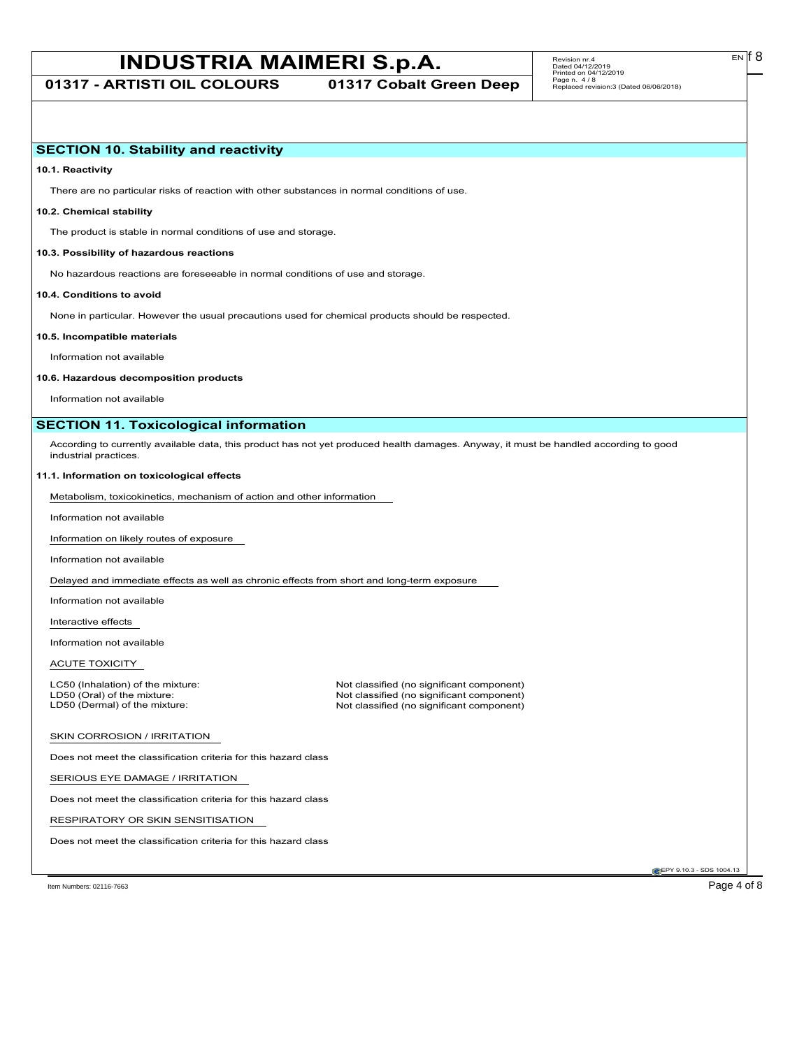# **INDUSTRIA MAIMERI S.p.A.** Revision m:4 **Data Corp 192112/2019**

**01317 - ARTISTI OIL COLOURS 01317 Cobalt Green Deep**

# **SECTION 10. Stability and reactivity**

**10.1. Reactivity**

There are no particular risks of reaction with other substances in normal conditions of use.

# **10.2. Chemical stability**

The product is stable in normal conditions of use and storage.

## **10.3. Possibility of hazardous reactions**

No hazardous reactions are foreseeable in normal conditions of use and storage.

## **10.4. Conditions to avoid**

None in particular. However the usual precautions used for chemical products should be respected.

### **10.5. Incompatible materials**

Information not available

### **10.6. Hazardous decomposition products**

Information not available

# **SECTION 11. Toxicological information**

According to currently available data, this product has not yet produced health damages. Anyway, it must be handled according to good industrial practices.

## **11.1. Information on toxicological effects**

Metabolism, toxicokinetics, mechanism of action and other information

Information not available

Information on likely routes of exposure

Information not available

Delayed and immediate effects as well as chronic effects from short and long-term exposure

Information not available

Interactive effects

Information not available

ACUTE TOXICITY

LC50 (Inhalation) of the mixture: Not classified (no significant component)<br>
LD50 (Oral) of the mixture: Not classified (no significant component) LD50 (Oral) of the mixture: Not classified (no significant component)<br>
LD50 (Dermal) of the mixture: Not classified (no significant component) Not classified (no significant component)

## SKIN CORROSION / IRRITATION

Does not meet the classification criteria for this hazard class

SERIOUS EYE DAMAGE / IRRITATION

Does not meet the classification criteria for this hazard class

RESPIRATORY OR SKIN SENSITISATION

Does not meet the classification criteria for this hazard class

EPY 9.10.3 - SDS 1004.13

Item Numbers: 02116-7663 Page 4 of 8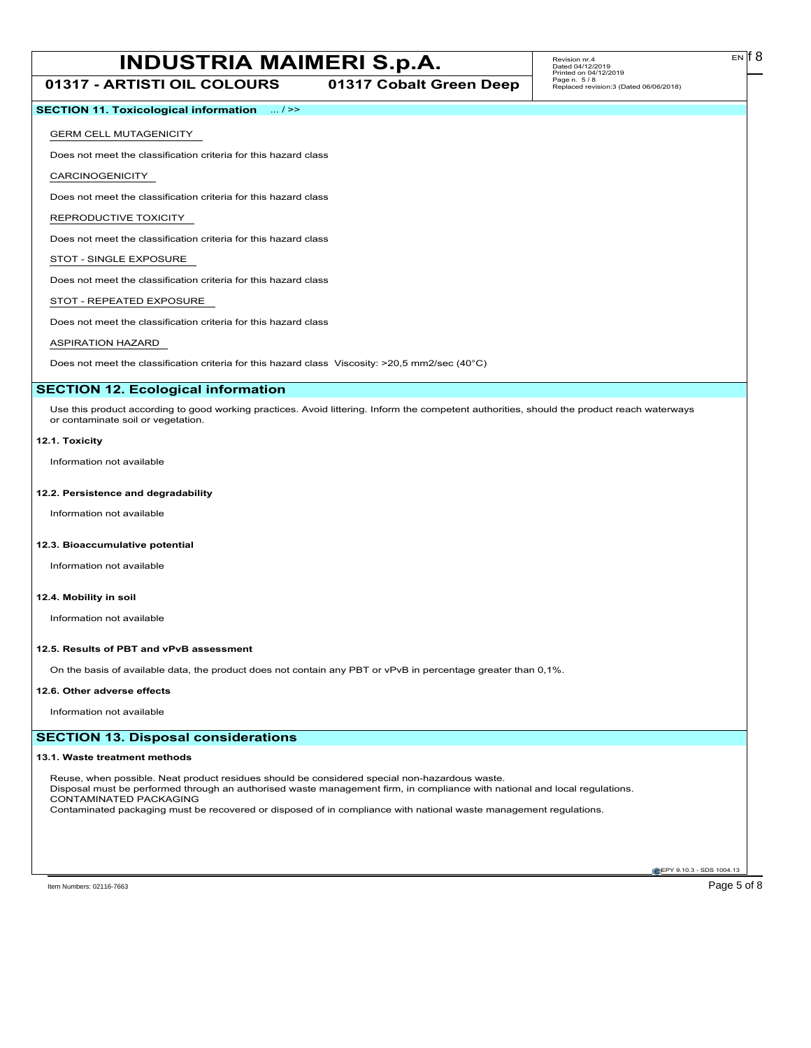**01317 - ARTISTI OIL COLOURS 01317 Cobalt Green Deep**

# **SECTION 11. Toxicological information** ... / >>

## GERM CELL MUTAGENICITY

Does not meet the classification criteria for this hazard class

CARCINOGENICITY

Does not meet the classification criteria for this hazard class

### REPRODUCTIVE TOXICITY

Does not meet the classification criteria for this hazard class

# STOT - SINGLE EXPOSURE

Does not meet the classification criteria for this hazard class

## STOT - REPEATED EXPOSURE

Does not meet the classification criteria for this hazard class

# ASPIRATION HAZARD

Does not meet the classification criteria for this hazard class Viscosity: >20,5 mm2/sec (40°C)

## **SECTION 12. Ecological information**

Use this product according to good working practices. Avoid littering. Inform the competent authorities, should the product reach waterways or contaminate soil or vegetation.

## **12.1. Toxicity**

Information not available

## **12.2. Persistence and degradability**

Information not available

## **12.3. Bioaccumulative potential**

Information not available

## **12.4. Mobility in soil**

Information not available

## **12.5. Results of PBT and vPvB assessment**

On the basis of available data, the product does not contain any PBT or vPvB in percentage greater than 0,1%.

### **12.6. Other adverse effects**

Information not available

## **SECTION 13. Disposal considerations**

## **13.1. Waste treatment methods**

Reuse, when possible. Neat product residues should be considered special non-hazardous waste. Disposal must be performed through an authorised waste management firm, in compliance with national and local regulations. CONTAMINATED PACKAGING Contaminated packaging must be recovered or disposed of in compliance with national waste management regulations.

**EPY 9.10.3 - SDS 1004.13**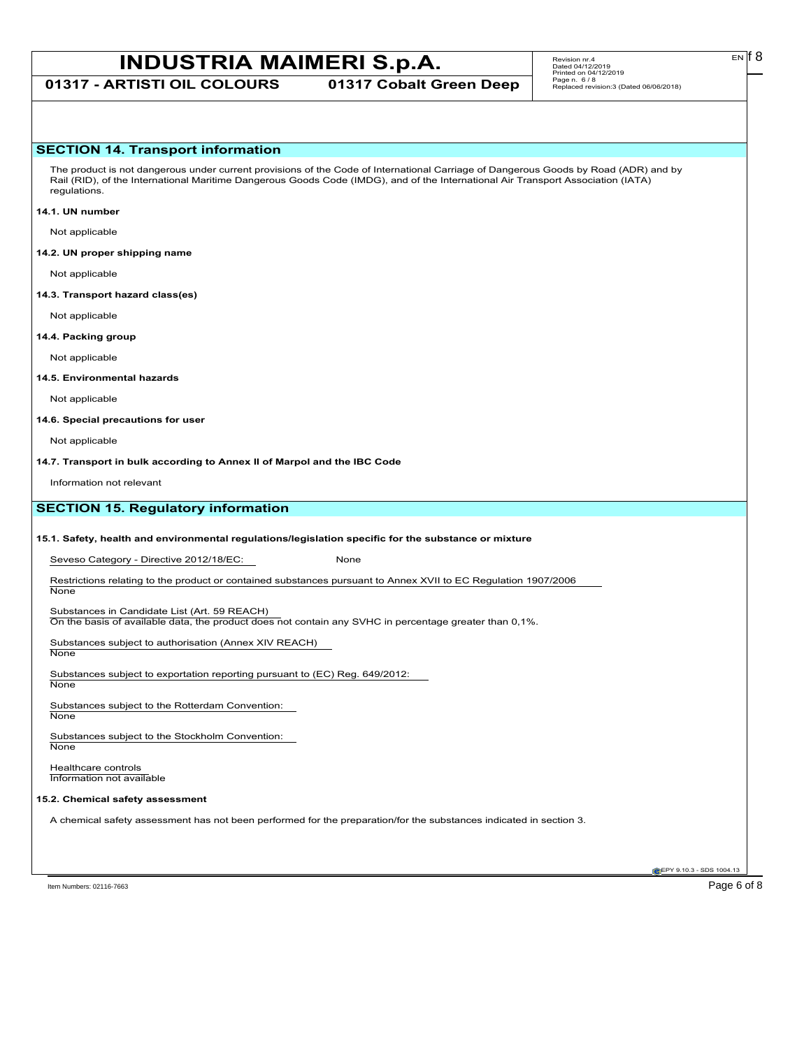# **INDUSTRIA MAIMERI S.p.A.** Revision m:4 **Carrists EN**<sup>6</sup>8

**01317 - ARTISTI OIL COLOURS 01317 Cobalt Green Deep**

EN

# **SECTION 14. Transport information**

The product is not dangerous under current provisions of the Code of International Carriage of Dangerous Goods by Road (ADR) and by Rail (RID), of the International Maritime Dangerous Goods Code (IMDG), and of the International Air Transport Association (IATA) regulations.

## **14.1. UN number**

Not applicable

## **14.2. UN proper shipping name**

Not applicable

### **14.3. Transport hazard class(es)**

Not applicable

## **14.4. Packing group**

Not applicable

## **14.5. Environmental hazards**

Not applicable

## **14.6. Special precautions for user**

Not applicable

**14.7. Transport in bulk according to Annex II of Marpol and the IBC Code**

Information not relevant

# **SECTION 15. Regulatory information**

## **15.1. Safety, health and environmental regulations/legislation specific for the substance or mixture**

Seveso Category - Directive 2012/18/EC: None

Restrictions relating to the product or contained substances pursuant to Annex XVII to EC Regulation 1907/2006 **None** 

## Substances in Candidate List (Art. 59 REACH)

On the basis of available data, the product does not contain any SVHC in percentage greater than 0,1%.

Substances subject to authorisation (Annex XIV REACH) **None** 

Substances subject to exportation reporting pursuant to (EC) Reg. 649/2012:

**None** 

Substances subject to the Rotterdam Convention: None

Substances subject to the Stockholm Convention: **None** 

Healthcare controls Information not available

## **15.2. Chemical safety assessment**

A chemical safety assessment has not been performed for the preparation/for the substances indicated in section 3.

Item Numbers: 02116-7663 Page 6 of 8

**EPY 9.10.3 - SDS 1004.13**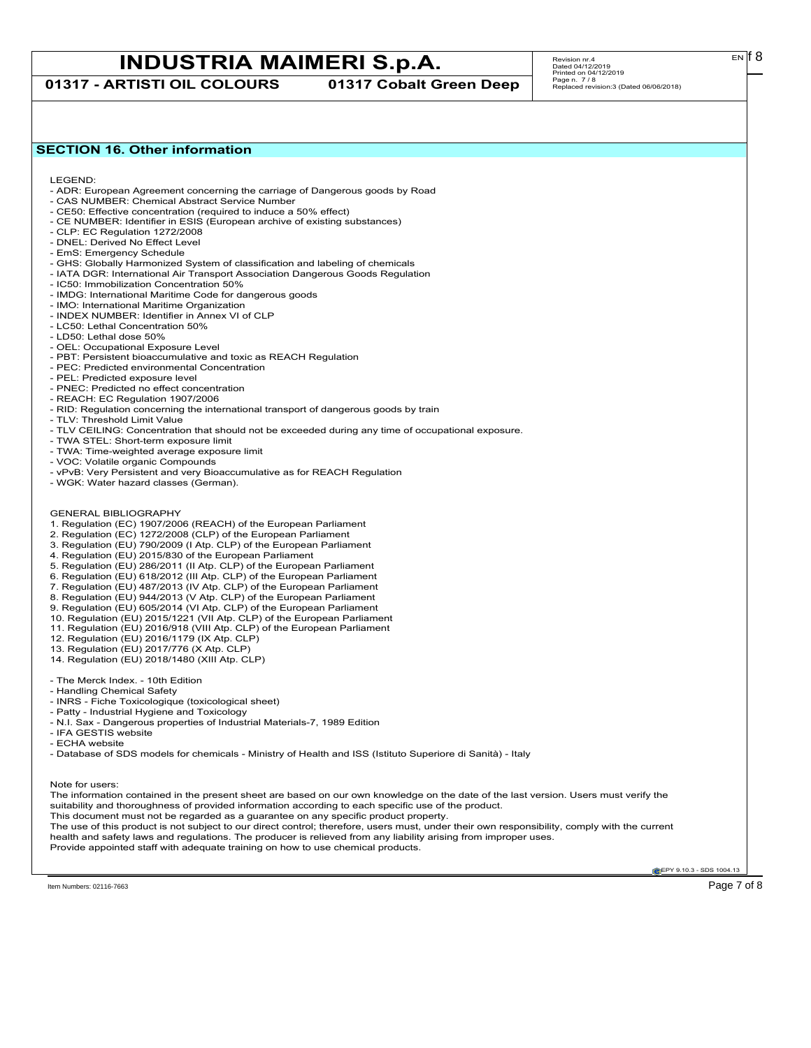**01317 - ARTISTI OIL COLOURS 01317 Cobalt Green Deep**

# **SECTION 16. Other information**

LEGEND:

- ADR: European Agreement concerning the carriage of Dangerous goods by Road
- CAS NUMBER: Chemical Abstract Service Number - CE50: Effective concentration (required to induce a 50% effect)
- CE NUMBER: Identifier in ESIS (European archive of existing substances)
- CLP: EC Regulation 1272/2008
- DNEL: Derived No Effect Level
- EmS: Emergency Schedule
- GHS: Globally Harmonized System of classification and labeling of chemicals
- IATA DGR: International Air Transport Association Dangerous Goods Regulation
- IC50: Immobilization Concentration 50%
- IMDG: International Maritime Code for dangerous goods
- IMO: International Maritime Organization
- INDEX NUMBER: Identifier in Annex VI of CLP
- LC50: Lethal Concentration 50%
- LD50: Lethal dose 50%
- OEL: Occupational Exposure Level
- PBT: Persistent bioaccumulative and toxic as REACH Regulation
- PEC: Predicted environmental Concentration
- PEL: Predicted exposure level
- PNEC: Predicted no effect concentration
- REACH: EC Regulation 1907/2006
- RID: Regulation concerning the international transport of dangerous goods by train
- TLV: Threshold Limit Value
- TLV CEILING: Concentration that should not be exceeded during any time of occupational exposure.
- TWA STEL: Short-term exposure limit
- TWA: Time-weighted average exposure limit
- VOC: Volatile organic Compounds
- vPvB: Very Persistent and very Bioaccumulative as for REACH Regulation
- WGK: Water hazard classes (German).
- GENERAL BIBLIOGRAPHY
- 1. Regulation (EC) 1907/2006 (REACH) of the European Parliament
- 2. Regulation (EC) 1272/2008 (CLP) of the European Parliament
- 3. Regulation (EU) 790/2009 (I Atp. CLP) of the European Parliament
- 4. Regulation (EU) 2015/830 of the European Parliament
- 5. Regulation (EU) 286/2011 (II Atp. CLP) of the European Parliament
- 6. Regulation (EU) 618/2012 (III Atp. CLP) of the European Parliament
- 7. Regulation (EU) 487/2013 (IV Atp. CLP) of the European Parliament
- 8. Regulation (EU) 944/2013 (V Atp. CLP) of the European Parliament
- 9. Regulation (EU) 605/2014 (VI Atp. CLP) of the European Parliament
- 10. Regulation (EU) 2015/1221 (VII Atp. CLP) of the European Parliament
- 11. Regulation (EU) 2016/918 (VIII Atp. CLP) of the European Parliament
- 12. Regulation (EU) 2016/1179 (IX Atp. CLP)
- 13. Regulation (EU) 2017/776 (X Atp. CLP)
- 14. Regulation (EU) 2018/1480 (XIII Atp. CLP)
- The Merck Index. 10th Edition
- Handling Chemical Safety
- INRS Fiche Toxicologique (toxicological sheet)
- Patty Industrial Hygiene and Toxicology
- N.I. Sax Dangerous properties of Industrial Materials-7, 1989 Edition
- IFA GESTIS website
- ECHA website

- Database of SDS models for chemicals - Ministry of Health and ISS (Istituto Superiore di Sanità) - Italy

Note for users:

The information contained in the present sheet are based on our own knowledge on the date of the last version. Users must verify the suitability and thoroughness of provided information according to each specific use of the product. This document must not be regarded as a guarantee on any specific product property. The use of this product is not subject to our direct control; therefore, users must, under their own responsibility, comply with the current health and safety laws and regulations. The producer is relieved from any liability arising from improper uses.

Provide appointed staff with adequate training on how to use chemical products.

**EPY 9.10.3 - SDS 1004.13** 

Item Numbers: 02116-7663  $\sim$  Page 7 of 8  $\sim$